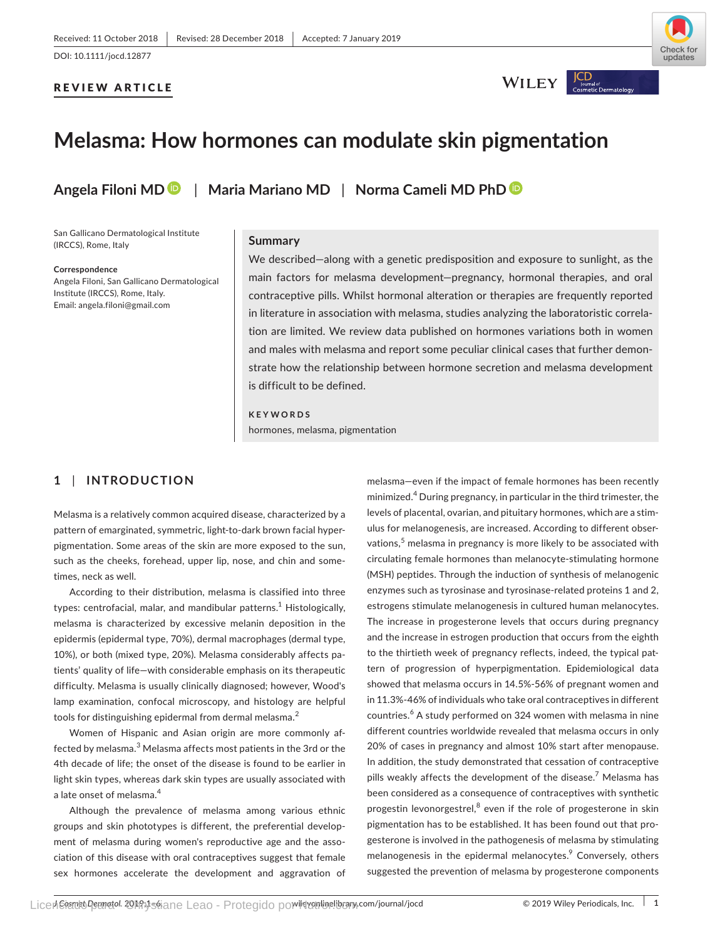### REVIEW ARTICLE



WILEY |

 $\bigcup_{\text{bound of}}$ 

# **Melasma: How hormones can modulate skin pigmentation**

**Angela Filoni M[D](https://orcid.org/0000-0002-9790-5361)** | **Maria Mariano MD** | **Norma Cameli MD PhD**

San Gallicano Dermatological Institute (IRCCS), Rome, Italy

**Correspondence**

Angela Filoni, San Gallicano Dermatological Institute (IRCCS), Rome, Italy. Email: [angela.filoni@gmail.com](mailto:angela.filoni@gmail.com)

#### **Summary**

We described—along with a genetic predisposition and exposure to sunlight, as the main factors for melasma development—pregnancy, hormonal therapies, and oral contraceptive pills. Whilst hormonal alteration or therapies are frequently reported in literature in association with melasma, studies analyzing the laboratoristic correla‐ tion are limited. We review data published on hormones variations both in women and males with melasma and report some peculiar clinical cases that further demonstrate how the relationship between hormone secretion and melasma development is difficult to be defined.

**KEYWORDS** hormones, melasma, pigmentation

# **1** | **INTRODUCTION**

Melasma is a relatively common acquired disease, characterized by a pattern of emarginated, symmetric, light-to-dark brown facial hyperpigmentation. Some areas of the skin are more exposed to the sun, such as the cheeks, forehead, upper lip, nose, and chin and some‐ times, neck as well.

According to their distribution, melasma is classified into three types: centrofacial, malar, and mandibular patterns.<sup>1</sup> Histologically, melasma is characterized by excessive melanin deposition in the epidermis (epidermal type, 70%), dermal macrophages (dermal type, 10%), or both (mixed type, 20%). Melasma considerably affects pa‐ tients' quality of life—with considerable emphasis on its therapeutic difficulty. Melasma is usually clinically diagnosed; however, Wood's lamp examination, confocal microscopy, and histology are helpful tools for distinguishing epidermal from dermal melasma.<sup>2</sup>

Women of Hispanic and Asian origin are more commonly af‐ fected by melasma. $^3$  Melasma affects most patients in the 3rd or the 4th decade of life; the onset of the disease is found to be earlier in light skin types, whereas dark skin types are usually associated with a late onset of melasma.<sup>4</sup>

Although the prevalence of melasma among various ethnic groups and skin phototypes is different, the preferential develop‐ ment of melasma during women's reproductive age and the association of this disease with oral contraceptives suggest that female sex hormones accelerate the development and aggravation of

melasma—even if the impact of female hormones has been recently minimized.<sup>4</sup> During pregnancy, in particular in the third trimester, the levels of placental, ovarian, and pituitary hormones, which are a stim‐ ulus for melanogenesis, are increased. According to different obser‐ vations,<sup>5</sup> melasma in pregnancy is more likely to be associated with circulating female hormones than melanocyte‐stimulating hormone (MSH) peptides. Through the induction of synthesis of melanogenic enzymes such as tyrosinase and tyrosinase-related proteins 1 and 2, estrogens stimulate melanogenesis in cultured human melanocytes. The increase in progesterone levels that occurs during pregnancy and the increase in estrogen production that occurs from the eighth to the thirtieth week of pregnancy reflects, indeed, the typical pat‐ tern of progression of hyperpigmentation. Epidemiological data showed that melasma occurs in 14.5%‐56% of pregnant women and in 11.3%‐46% of individuals who take oral contraceptives in different countries.<sup>6</sup> A study performed on 324 women with melasma in nine different countries worldwide revealed that melasma occurs in only 20% of cases in pregnancy and almost 10% start after menopause. In addition, the study demonstrated that cessation of contraceptive pills weakly affects the development of the disease.<sup>7</sup> Melasma has been considered as a consequence of contraceptives with synthetic progestin levonorgestrel,<sup>8</sup> even if the role of progesterone in skin pigmentation has to be established. It has been found out that pro‐ gesterone is involved in the pathogenesis of melasma by stimulating melanogenesis in the epidermal melanocytes.<sup>9</sup> Conversely, others suggested the prevention of melasma by progesterone components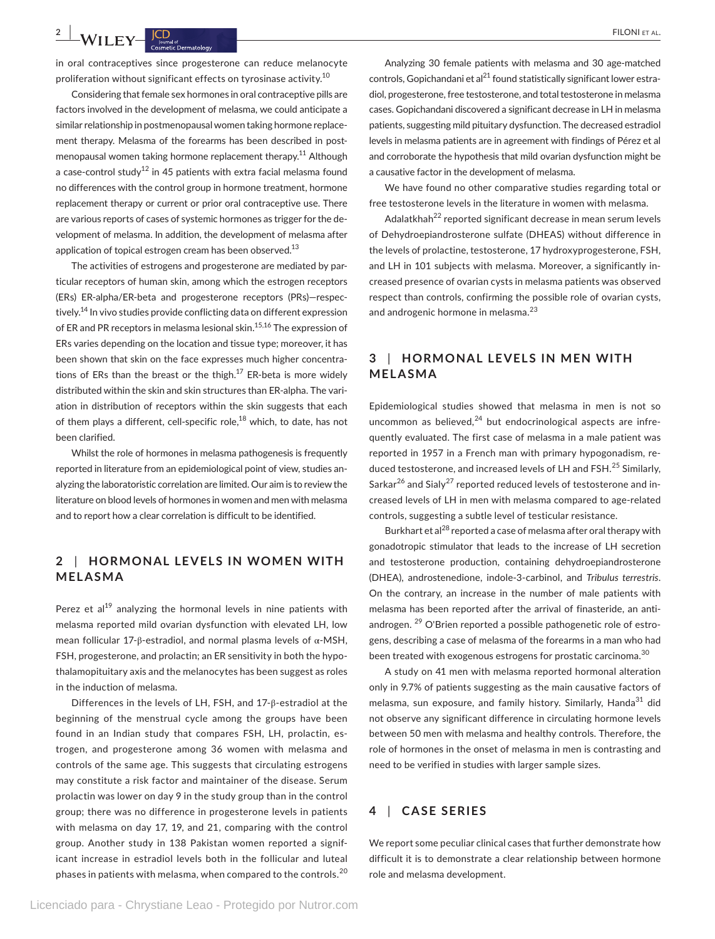**2 A***l***i FILONI ET AL. FILONI ET AL. FILONI ET AL.** 

in oral contraceptives since progesterone can reduce melanocyte proliferation without significant effects on tyrosinase activity.10

Considering that female sex hormones in oral contraceptive pills are factors involved in the development of melasma, we could anticipate a similar relationship in postmenopausal women taking hormone replace‐ ment therapy. Melasma of the forearms has been described in postmenopausal women taking hormone replacement therapy.<sup>11</sup> Although a case-control study<sup>12</sup> in 45 patients with extra facial melasma found no differences with the control group in hormone treatment, hormone replacement therapy or current or prior oral contraceptive use. There are various reports of cases of systemic hormones as trigger for the de‐ velopment of melasma. In addition, the development of melasma after application of topical estrogen cream has been observed.<sup>13</sup>

The activities of estrogens and progesterone are mediated by par‐ ticular receptors of human skin, among which the estrogen receptors (ERs) ER‐alpha/ER‐beta and progesterone receptors (PRs)—respec‐ tively.<sup>14</sup> In vivo studies provide conflicting data on different expression of ER and PR receptors in melasma lesional skin.<sup>15,16</sup> The expression of ERs varies depending on the location and tissue type; moreover, it has been shown that skin on the face expresses much higher concentra‐ tions of ERs than the breast or the thigh. $17$  ER-beta is more widely distributed within the skin and skin structures than ER‐alpha. The vari‐ ation in distribution of receptors within the skin suggests that each of them plays a different, cell-specific role,<sup>18</sup> which, to date, has not been clarified.

Whilst the role of hormones in melasma pathogenesis is frequently reported in literature from an epidemiological point of view, studies an‐ alyzing the laboratoristic correlation are limited. Our aim is to review the literature on blood levels of hormones in women and men with melasma and to report how a clear correlation is difficult to be identified.

# **2** | **HORMONAL LEVELS IN WOMEN WITH MELASMA**

Perez et al<sup>19</sup> analyzing the hormonal levels in nine patients with melasma reported mild ovarian dysfunction with elevated LH, low mean follicular 17‐β‐estradiol, and normal plasma levels of α‐MSH, FSH, progesterone, and prolactin; an ER sensitivity in both the hypothalamopituitary axis and the melanocytes has been suggest as roles in the induction of melasma.

Differences in the levels of LH, FSH, and 17‐β‐estradiol at the beginning of the menstrual cycle among the groups have been found in an Indian study that compares FSH, LH, prolactin, es‐ trogen, and progesterone among 36 women with melasma and controls of the same age. This suggests that circulating estrogens may constitute a risk factor and maintainer of the disease. Serum prolactin was lower on day 9 in the study group than in the control group; there was no difference in progesterone levels in patients with melasma on day 17, 19, and 21, comparing with the control group. Another study in 138 Pakistan women reported a signif‐ icant increase in estradiol levels both in the follicular and luteal phases in patients with melasma, when compared to the controls.<sup>20</sup>

Analyzing 30 female patients with melasma and 30 age‐matched controls, Gopichandani et al<sup>21</sup> found statistically significant lower estradiol, progesterone, free testosterone, and total testosterone in melasma cases. Gopichandani discovered a significant decrease in LH in melasma patients, suggesting mild pituitary dysfunction. The decreased estradiol levels in melasma patients are in agreement with findings of Pérez et al and corroborate the hypothesis that mild ovarian dysfunction might be a causative factor in the development of melasma.

We have found no other comparative studies regarding total or free testosterone levels in the literature in women with melasma.

Adalatkhah<sup>22</sup> reported significant decrease in mean serum levels of Dehydroepiandrosterone sulfate (DHEAS) without difference in the levels of prolactine, testosterone, 17 hydroxyprogesterone, FSH, and LH in 101 subjects with melasma. Moreover, a significantly in‐ creased presence of ovarian cysts in melasma patients was observed respect than controls, confirming the possible role of ovarian cysts, and androgenic hormone in melasma.<sup>23</sup>

## **3** | **HORMONAL LEVELS IN MEN WITH MELASMA**

Epidemiological studies showed that melasma in men is not so uncommon as believed, $^{24}$  but endocrinological aspects are infrequently evaluated. The first case of melasma in a male patient was reported in 1957 in a French man with primary hypogonadism, re‐ duced testosterone, and increased levels of LH and FSH.<sup>25</sup> Similarly, Sarkar<sup>26</sup> and Sialy<sup>27</sup> reported reduced levels of testosterone and increased levels of LH in men with melasma compared to age-related controls, suggesting a subtle level of testicular resistance.

Burkhart et al<sup>28</sup> reported a case of melasma after oral therapy with gonadotropic stimulator that leads to the increase of LH secretion and testosterone production, containing dehydroepiandrosterone (DHEA), androstenedione, indole‐3‐carbinol, and *Tribulus terrestris*. On the contrary, an increase in the number of male patients with melasma has been reported after the arrival of finasteride, an anti‐ androgen. <sup>29</sup> O'Brien reported a possible pathogenetic role of estrogens, describing a case of melasma of the forearms in a man who had been treated with exogenous estrogens for prostatic carcinoma.<sup>30</sup>

A study on 41 men with melasma reported hormonal alteration only in 9.7% of patients suggesting as the main causative factors of melasma, sun exposure, and family history. Similarly, Handa<sup>31</sup> did not observe any significant difference in circulating hormone levels between 50 men with melasma and healthy controls. Therefore, the role of hormones in the onset of melasma in men is contrasting and need to be verified in studies with larger sample sizes.

## **4** | **CASE SERIES**

We report some peculiar clinical cases that further demonstrate how difficult it is to demonstrate a clear relationship between hormone role and melasma development.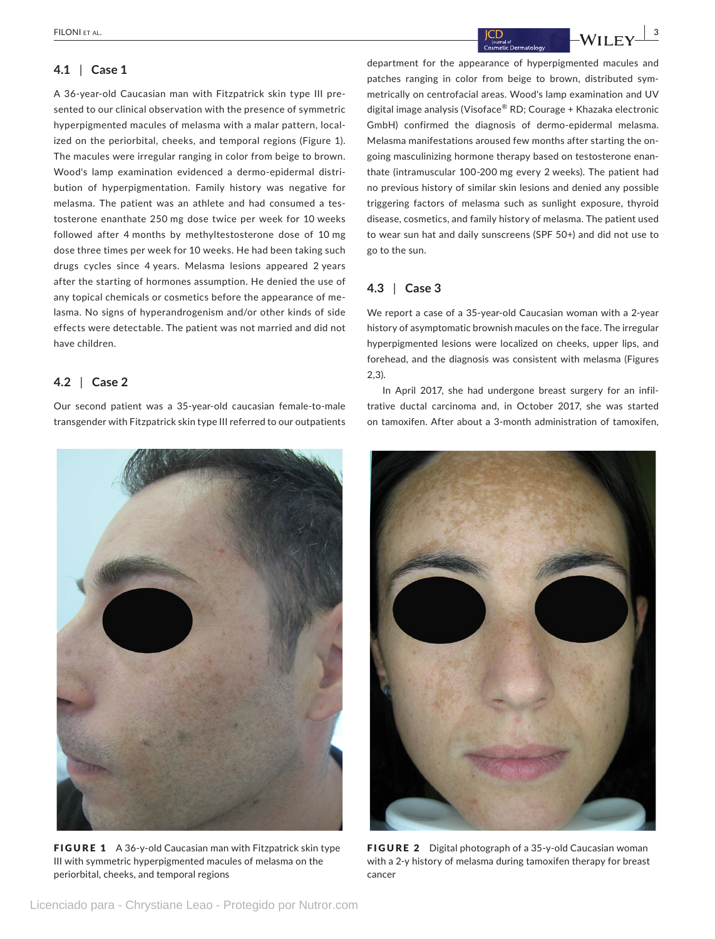### **4.1** | **Case 1**

A 36‐year‐old Caucasian man with Fitzpatrick skin type III pre‐ sented to our clinical observation with the presence of symmetric hyperpigmented macules of melasma with a malar pattern, local‐ ized on the periorbital, cheeks, and temporal regions (Figure 1). The macules were irregular ranging in color from beige to brown. Wood's lamp examination evidenced a dermo-epidermal distribution of hyperpigmentation. Family history was negative for melasma. The patient was an athlete and had consumed a testosterone enanthate 250 mg dose twice per week for 10 weeks followed after 4 months by methyltestosterone dose of 10 mg dose three times per week for 10 weeks. He had been taking such drugs cycles since 4 years. Melasma lesions appeared 2 years after the starting of hormones assumption. He denied the use of any topical chemicals or cosmetics before the appearance of me‐ lasma. No signs of hyperandrogenism and/or other kinds of side effects were detectable. The patient was not married and did not have children.

## **4.2** | **Case 2**

Our second patient was a 35‐year‐old caucasian female‐to‐male transgender with Fitzpatrick skin type III referred to our outpatients



FIGURE 1 A 36-y-old Caucasian man with Fitzpatrick skin type III with symmetric hyperpigmented macules of melasma on the periorbital, cheeks, and temporal regions

department for the appearance of hyperpigmented macules and patches ranging in color from beige to brown, distributed symmetrically on centrofacial areas. Wood's lamp examination and UV digital image analysis (Visoface® RD; Courage + Khazaka electronic GmbH) confirmed the diagnosis of dermo-epidermal melasma. Melasma manifestations aroused few months after starting the ongoing masculinizing hormone therapy based on testosterone enan‐ thate (intramuscular 100‐200 mg every 2 weeks). The patient had no previous history of similar skin lesions and denied any possible triggering factors of melasma such as sunlight exposure, thyroid disease, cosmetics, and family history of melasma. The patient used to wear sun hat and daily sunscreens (SPF 50+) and did not use to go to the sun.

## **4.3** | **Case 3**

We report a case of a 35‐year‐old Caucasian woman with a 2‐year history of asymptomatic brownish macules on the face. The irregular hyperpigmented lesions were localized on cheeks, upper lips, and forehead, and the diagnosis was consistent with melasma (Figures 2,3).

In April 2017, she had undergone breast surgery for an infiltrative ductal carcinoma and, in October 2017, she was started on tamoxifen. After about a 3‐month administration of tamoxifen,



FIGURE 2 Digital photograph of a 35-y-old Caucasian woman with a 2-y history of melasma during tamoxifen therapy for breast cancer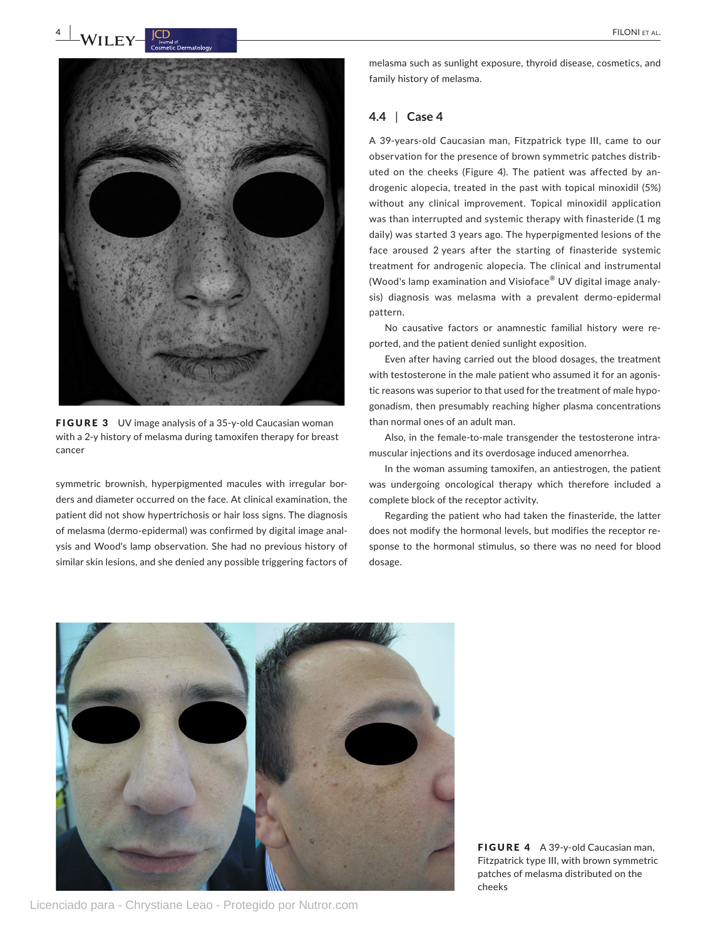# **4 L WII FV FILONI ET AL.** FILONI ET AL.



FIGURE 3 UV image analysis of a 35-y-old Caucasian woman with a 2‐y history of melasma during tamoxifen therapy for breast cancer

symmetric brownish, hyperpigmented macules with irregular borders and diameter occurred on the face. At clinical examination, the patient did not show hypertrichosis or hair loss signs. The diagnosis of melasma (dermo‐epidermal) was confirmed by digital image anal‐ ysis and Wood's lamp observation. She had no previous history of similar skin lesions, and she denied any possible triggering factors of

melasma such as sunlight exposure, thyroid disease, cosmetics, and family history of melasma.

## **4.4** | **Case 4**

A 39‐years‐old Caucasian man, Fitzpatrick type III, came to our observation for the presence of brown symmetric patches distrib‐ uted on the cheeks (Figure 4). The patient was affected by an‐ drogenic alopecia, treated in the past with topical minoxidil (5%) without any clinical improvement. Topical minoxidil application was than interrupted and systemic therapy with finasteride (1 mg daily) was started 3 years ago. The hyperpigmented lesions of the face aroused 2 years after the starting of finasteride systemic treatment for androgenic alopecia. The clinical and instrumental (Wood's lamp examination and Visioface® UV digital image analy‐ sis) diagnosis was melasma with a prevalent dermo-epidermal pattern.

No causative factors or anamnestic familial history were re‐ ported, and the patient denied sunlight exposition.

Even after having carried out the blood dosages, the treatment with testosterone in the male patient who assumed it for an agonistic reasons was superior to that used for the treatment of male hypo‐ gonadism, then presumably reaching higher plasma concentrations than normal ones of an adult man.

Also, in the female-to-male transgender the testosterone intramuscular injections and its overdosage induced amenorrhea.

In the woman assuming tamoxifen, an antiestrogen, the patient was undergoing oncological therapy which therefore included a complete block of the receptor activity.

Regarding the patient who had taken the finasteride, the latter does not modify the hormonal levels, but modifies the receptor re‐ sponse to the hormonal stimulus, so there was no need for blood dosage.



Licenciado para - Chrystiane Leao - Protegido por Nutror.com

FIGURE 4 A 39-y-old Caucasian man, Fitzpatrick type III, with brown symmetric patches of melasma distributed on the cheeks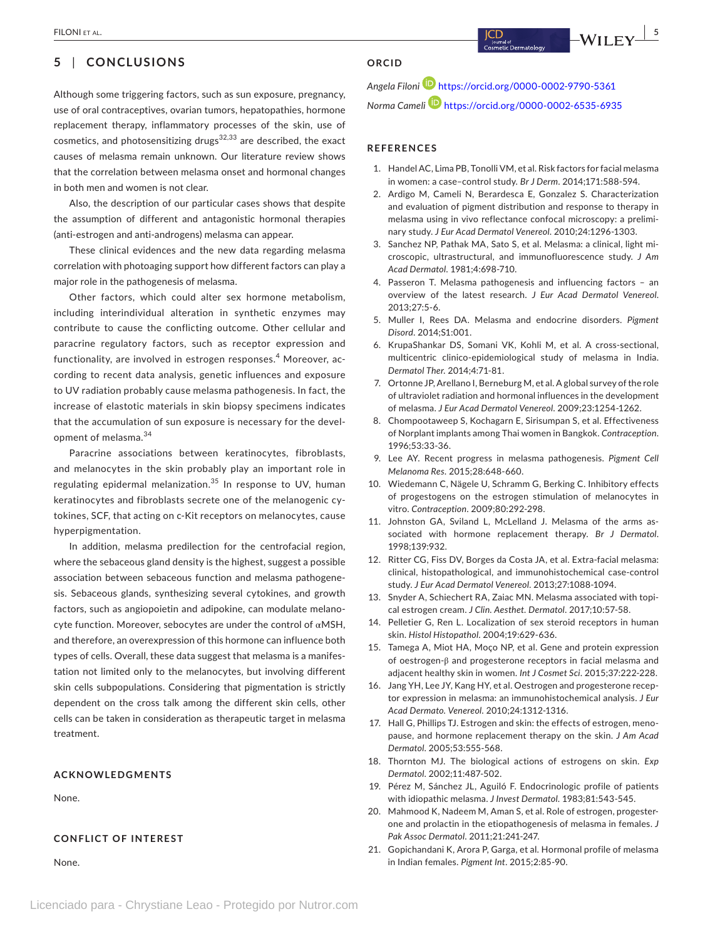# **5** | **CONCLUSIONS**

Although some triggering factors, such as sun exposure, pregnancy, use of oral contraceptives, ovarian tumors, hepatopathies, hormone replacement therapy, inflammatory processes of the skin, use of cosmetics, and photosensitizing drugs $32,33$  are described, the exact causes of melasma remain unknown. Our literature review shows that the correlation between melasma onset and hormonal changes in both men and women is not clear.

Also, the description of our particular cases shows that despite the assumption of different and antagonistic hormonal therapies (anti‐estrogen and anti‐androgens) melasma can appear.

These clinical evidences and the new data regarding melasma correlation with photoaging support how different factors can play a major role in the pathogenesis of melasma.

Other factors, which could alter sex hormone metabolism, including interindividual alteration in synthetic enzymes may contribute to cause the conflicting outcome. Other cellular and paracrine regulatory factors, such as receptor expression and functionality, are involved in estrogen responses.<sup>4</sup> Moreover, according to recent data analysis, genetic influences and exposure to UV radiation probably cause melasma pathogenesis. In fact, the increase of elastotic materials in skin biopsy specimens indicates that the accumulation of sun exposure is necessary for the devel‐ opment of melasma.<sup>34</sup>

Paracrine associations between keratinocytes, fibroblasts, and melanocytes in the skin probably play an important role in regulating epidermal melanization.<sup>35</sup> In response to UV, human keratinocytes and fibroblasts secrete one of the melanogenic cy‐ tokines, SCF, that acting on c‐Kit receptors on melanocytes, cause hyperpigmentation.

In addition, melasma predilection for the centrofacial region, where the sebaceous gland density is the highest, suggest a possible association between sebaceous function and melasma pathogene‐ sis. Sebaceous glands, synthesizing several cytokines, and growth factors, such as angiopoietin and adipokine, can modulate melano‐ cyte function. Moreover, sebocytes are under the control of αMSH, and therefore, an overexpression of this hormone can influence both types of cells. Overall, these data suggest that melasma is a manifes‐ tation not limited only to the melanocytes, but involving different skin cells subpopulations. Considering that pigmentation is strictly dependent on the cross talk among the different skin cells, other cells can be taken in consideration as therapeutic target in melasma treatment.

#### **ACKNOWLEDGMENTS**

None.

#### **CONFLICT OF INTEREST**

None.

#### **ORCID**

*Angela Filoni* <https://orcid.org/0000-0002-9790-5361> *Norma Cameli* <https://orcid.org/0000-0002-6535-6935>

#### **REFERENCES**

- 1. Handel AC, Lima PB, Tonolli VM, et al. Risk factors for facial melasma in women: a case–control study. *Br J Derm*. 2014;171:588‐594.
- 2. Ardigo M, Cameli N, Berardesca E, Gonzalez S. Characterization and evaluation of pigment distribution and response to therapy in melasma using in vivo reflectance confocal microscopy: a prelimi‐ nary study. *J Eur Acad Dermatol Venereol*. 2010;24:1296‐1303.
- 3. Sanchez NP, Pathak MA, Sato S, et al. Melasma: a clinical, light mi‐ croscopic, ultrastructural, and immunofluorescence study. *J Am Acad Dermatol*. 1981;4:698‐710.
- 4. Passeron T. Melasma pathogenesis and influencing factors an overview of the latest research. *J Eur Acad Dermatol Venereol*. 2013;27:5‐6.
- 5. Muller I, Rees DA. Melasma and endocrine disorders. *Pigment Disord*. 2014;S1:001.
- 6. KrupaShankar DS, Somani VK, Kohli M, et al. A cross‐sectional, multicentric clinico‐epidemiological study of melasma in India. *Dermatol Ther*. 2014;4:71‐81.
- 7. Ortonne JP, Arellano I, Berneburg M, et al. A global survey of the role of ultraviolet radiation and hormonal influences in the development of melasma. *J Eur Acad Dermatol Venereol*. 2009;23:1254‐1262.
- 8. Chompootaweep S, Kochagarn E, Sirisumpan S, et al. Effectiveness of Norplant implants among Thai women in Bangkok. *Contraception*. 1996;53:33‐36.
- 9. Lee AY. Recent progress in melasma pathogenesis. *Pigment Cell Melanoma Res*. 2015;28:648‐660.
- 10. Wiedemann C, Nägele U, Schramm G, Berking C. Inhibitory effects of progestogens on the estrogen stimulation of melanocytes in vitro. *Contraception*. 2009;80:292‐298.
- 11. Johnston GA, Sviland L, McLelland J. Melasma of the arms associated with hormone replacement therapy. *Br J Dermatol*. 1998;139:932.
- 12. Ritter CG, Fiss DV, Borges da Costa JA, et al. Extra-facial melasma: clinical, histopathological, and immunohistochemical case‐control study. *J Eur Acad Dermatol Venereol*. 2013;27:1088‐1094.
- 13. Snyder A, Schiechert RA, Zaiac MN. Melasma associated with topi‐ cal estrogen cream. *J Clin. Aesthet. Dermatol*. 2017;10:57‐58.
- 14. Pelletier G, Ren L. Localization of sex steroid receptors in human skin. *Histol Histopathol*. 2004;19:629‐636.
- 15. Tamega A, Miot HA, Moço NP, et al. Gene and protein expression of oestrogen‐β and progesterone receptors in facial melasma and adjacent healthy skin in women. *Int J Cosmet Sci*. 2015;37:222‐228.
- 16. Jang YH, Lee JY, Kang HY, et al. Oestrogen and progesterone receptor expression in melasma: an immunohistochemical analysis. *J Eur Acad Dermato. Venereol*. 2010;24:1312‐1316.
- 17. Hall G, Phillips TJ. Estrogen and skin: the effects of estrogen, menopause, and hormone replacement therapy on the skin. *J Am Acad Dermatol*. 2005;53:555‐568.
- 18. Thornton MJ. The biological actions of estrogens on skin. *Exp Dermatol*. 2002;11:487‐502.
- 19. Pérez M, Sánchez JL, Aguiló F. Endocrinologic profile of patients with idiopathic melasma. *J Invest Dermatol*. 1983;81:543‐545.
- 20. Mahmood K, Nadeem M, Aman S, et al. Role of estrogen, progester‐ one and prolactin in the etiopathogenesis of melasma in females. *J Pak Assoc Dermatol*. 2011;21:241‐247.
- 21. Gopichandani K, Arora P, Garga, et al. Hormonal profile of melasma in Indian females. *Pigment Int*. 2015;2:85‐90.